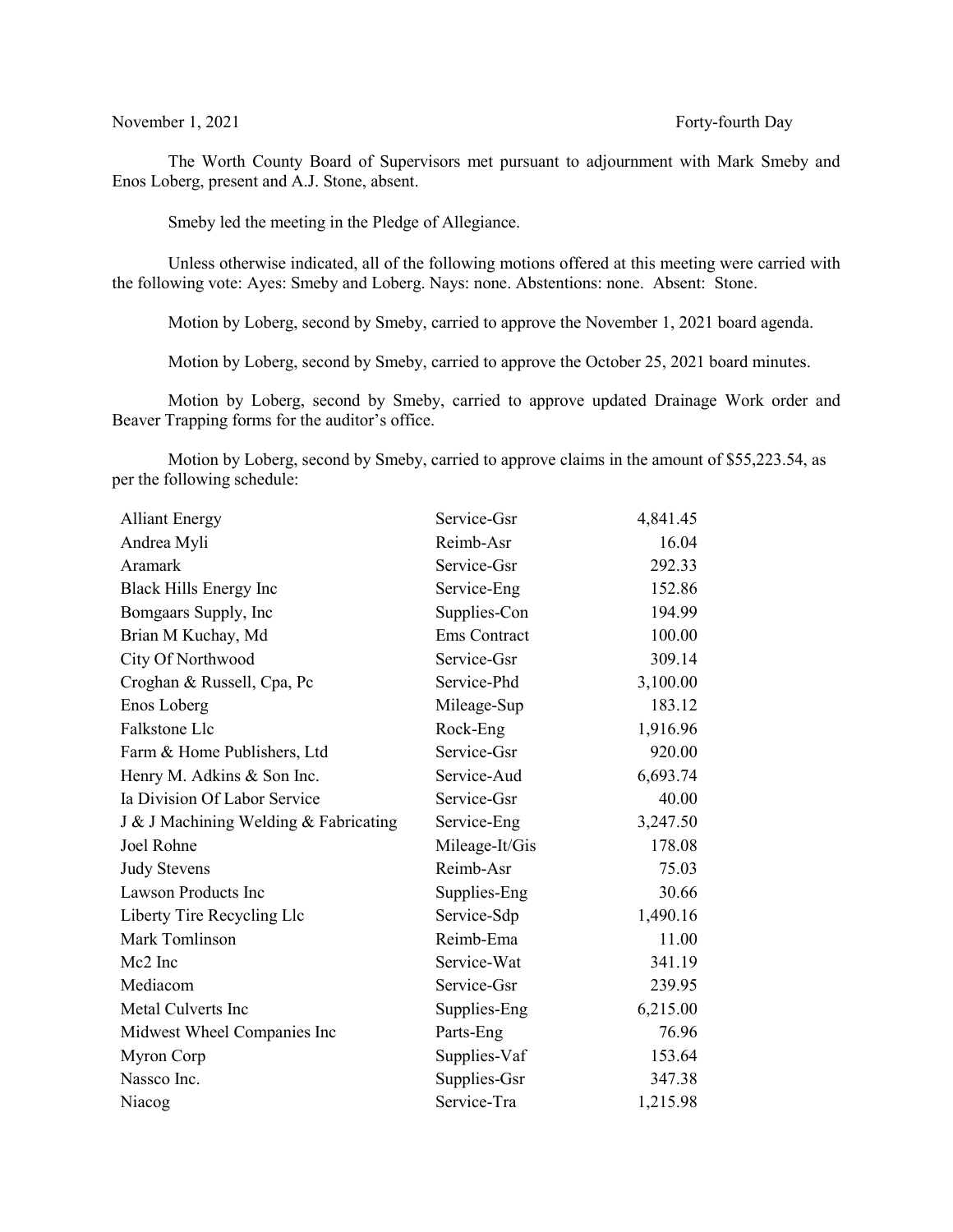The Worth County Board of Supervisors met pursuant to adjournment with Mark Smeby and Enos Loberg, present and A.J. Stone, absent.

Smeby led the meeting in the Pledge of Allegiance.

Unless otherwise indicated, all of the following motions offered at this meeting were carried with the following vote: Ayes: Smeby and Loberg. Nays: none. Abstentions: none. Absent: Stone.

Motion by Loberg, second by Smeby, carried to approve the November 1, 2021 board agenda.

Motion by Loberg, second by Smeby, carried to approve the October 25, 2021 board minutes.

Motion by Loberg, second by Smeby, carried to approve updated Drainage Work order and Beaver Trapping forms for the auditor's office.

Motion by Loberg, second by Smeby, carried to approve claims in the amount of \$55,223.54, as per the following schedule:

| <b>Alliant Energy</b>                 | Service-Gsr    | 4,841.45 |
|---------------------------------------|----------------|----------|
| Andrea Myli                           | Reimb-Asr      | 16.04    |
| Aramark                               | Service-Gsr    | 292.33   |
| Black Hills Energy Inc                | Service-Eng    | 152.86   |
| Bomgaars Supply, Inc                  | Supplies-Con   | 194.99   |
| Brian M Kuchay, Md                    | Ems Contract   | 100.00   |
| City Of Northwood                     | Service-Gsr    | 309.14   |
| Croghan & Russell, Cpa, Pc            | Service-Phd    | 3,100.00 |
| Enos Loberg                           | Mileage-Sup    | 183.12   |
| Falkstone Llc                         | Rock-Eng       | 1,916.96 |
| Farm & Home Publishers, Ltd           | Service-Gsr    | 920.00   |
| Henry M. Adkins & Son Inc.            | Service-Aud    | 6,693.74 |
| Ia Division Of Labor Service          | Service-Gsr    | 40.00    |
| J & J Machining Welding & Fabricating | Service-Eng    | 3,247.50 |
| Joel Rohne                            | Mileage-It/Gis | 178.08   |
| <b>Judy Stevens</b>                   | Reimb-Asr      | 75.03    |
| <b>Lawson Products Inc</b>            | Supplies-Eng   | 30.66    |
| Liberty Tire Recycling Llc            | Service-Sdp    | 1,490.16 |
| Mark Tomlinson                        | Reimb-Ema      | 11.00    |
| Mc2 Inc                               | Service-Wat    | 341.19   |
| Mediacom                              | Service-Gsr    | 239.95   |
| Metal Culverts Inc                    | Supplies-Eng   | 6,215.00 |
| Midwest Wheel Companies Inc           | Parts-Eng      | 76.96    |
| Myron Corp                            | Supplies-Vaf   | 153.64   |
| Nassco Inc.                           | Supplies-Gsr   | 347.38   |
| Niacog                                | Service-Tra    | 1,215.98 |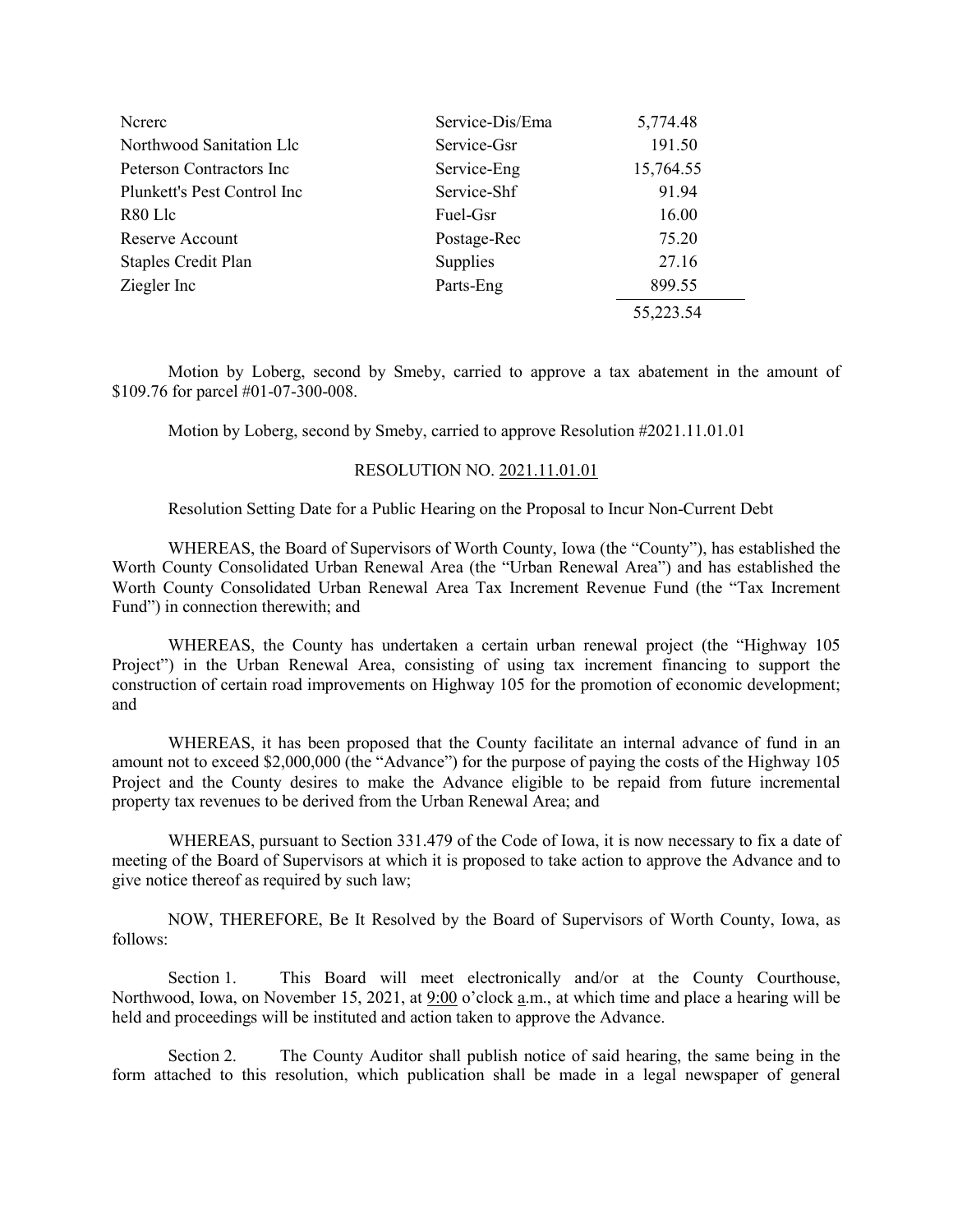| Ncrerc                      | Service-Dis/Ema | 5,774.48  |
|-----------------------------|-----------------|-----------|
| Northwood Sanitation Llc    | Service-Gsr     | 191.50    |
| Peterson Contractors Inc.   | Service-Eng     | 15,764.55 |
| Plunkett's Pest Control Inc | Service-Shf     | 91.94     |
| R80 Llc                     | Fuel-Gsr        | 16.00     |
| Reserve Account             | Postage-Rec     | 75.20     |
| <b>Staples Credit Plan</b>  | Supplies        | 27.16     |
| Ziegler Inc                 | Parts-Eng       | 899.55    |
|                             |                 | 55,223.54 |

Motion by Loberg, second by Smeby, carried to approve a tax abatement in the amount of \$109.76 for parcel #01-07-300-008.

Motion by Loberg, second by Smeby, carried to approve Resolution #2021.11.01.01

# RESOLUTION NO. 2021.11.01.01

Resolution Setting Date for a Public Hearing on the Proposal to Incur Non-Current Debt

WHEREAS, the Board of Supervisors of Worth County, Iowa (the "County"), has established the Worth County Consolidated Urban Renewal Area (the "Urban Renewal Area") and has established the Worth County Consolidated Urban Renewal Area Tax Increment Revenue Fund (the "Tax Increment Fund") in connection therewith; and

WHEREAS, the County has undertaken a certain urban renewal project (the "Highway 105 Project") in the Urban Renewal Area, consisting of using tax increment financing to support the construction of certain road improvements on Highway 105 for the promotion of economic development; and

WHEREAS, it has been proposed that the County facilitate an internal advance of fund in an amount not to exceed \$2,000,000 (the "Advance") for the purpose of paying the costs of the Highway 105 Project and the County desires to make the Advance eligible to be repaid from future incremental property tax revenues to be derived from the Urban Renewal Area; and

WHEREAS, pursuant to Section 331.479 of the Code of Iowa, it is now necessary to fix a date of meeting of the Board of Supervisors at which it is proposed to take action to approve the Advance and to give notice thereof as required by such law;

NOW, THEREFORE, Be It Resolved by the Board of Supervisors of Worth County, Iowa, as follows:

Section 1. This Board will meet electronically and/or at the County Courthouse, Northwood, Iowa, on November 15, 2021, at 9:00 o'clock a.m., at which time and place a hearing will be held and proceedings will be instituted and action taken to approve the Advance.

Section 2. The County Auditor shall publish notice of said hearing, the same being in the form attached to this resolution, which publication shall be made in a legal newspaper of general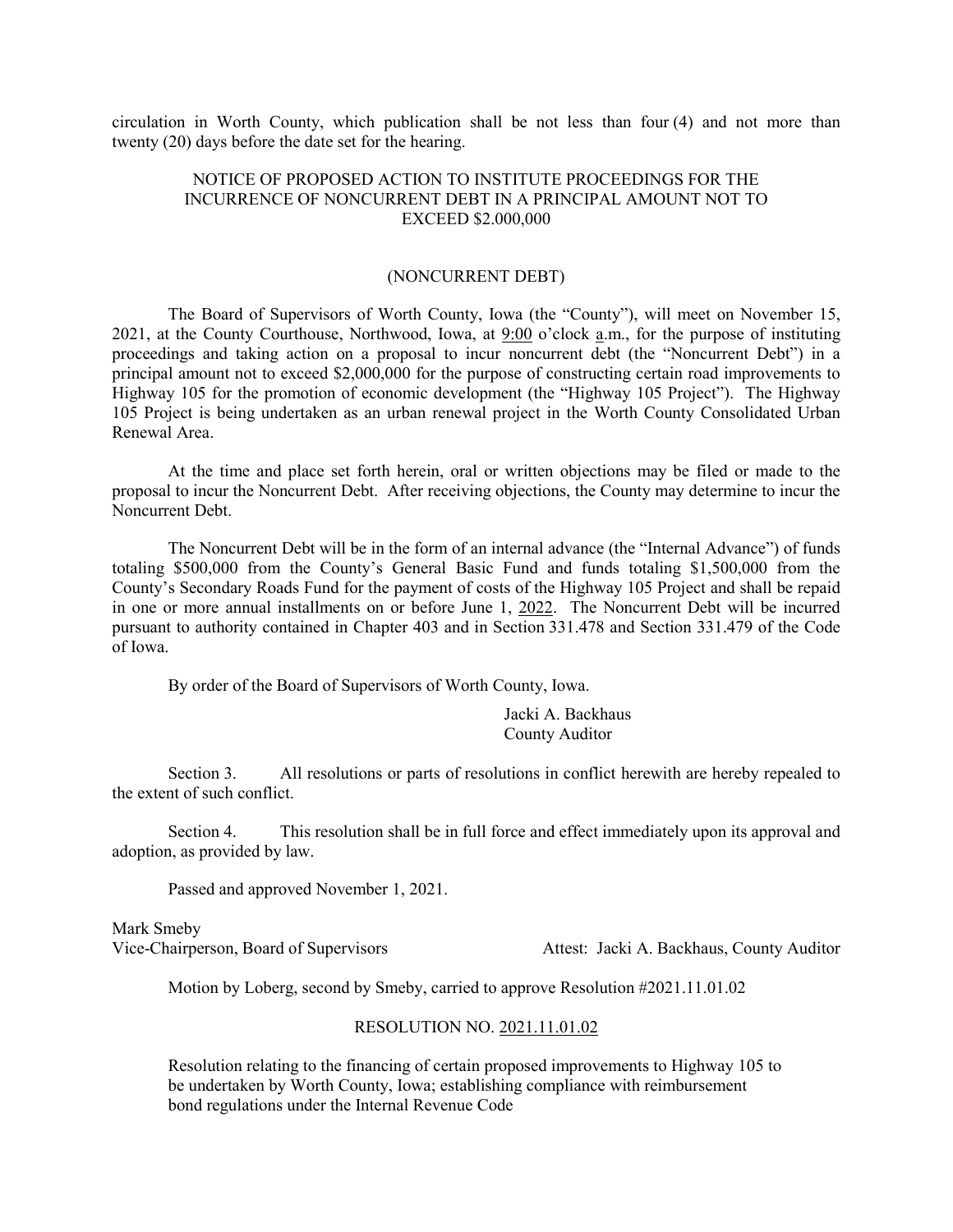circulation in Worth County, which publication shall be not less than four (4) and not more than twenty (20) days before the date set for the hearing.

## NOTICE OF PROPOSED ACTION TO INSTITUTE PROCEEDINGS FOR THE INCURRENCE OF NONCURRENT DEBT IN A PRINCIPAL AMOUNT NOT TO EXCEED \$2.000,000

#### (NONCURRENT DEBT)

The Board of Supervisors of Worth County, Iowa (the "County"), will meet on November 15, 2021, at the County Courthouse, Northwood, Iowa, at 9:00 o'clock a.m., for the purpose of instituting proceedings and taking action on a proposal to incur noncurrent debt (the "Noncurrent Debt") in a principal amount not to exceed \$2,000,000 for the purpose of constructing certain road improvements to Highway 105 for the promotion of economic development (the "Highway 105 Project"). The Highway 105 Project is being undertaken as an urban renewal project in the Worth County Consolidated Urban Renewal Area.

At the time and place set forth herein, oral or written objections may be filed or made to the proposal to incur the Noncurrent Debt. After receiving objections, the County may determine to incur the Noncurrent Debt.

The Noncurrent Debt will be in the form of an internal advance (the "Internal Advance") of funds totaling \$500,000 from the County's General Basic Fund and funds totaling \$1,500,000 from the County's Secondary Roads Fund for the payment of costs of the Highway 105 Project and shall be repaid in one or more annual installments on or before June 1, 2022. The Noncurrent Debt will be incurred pursuant to authority contained in Chapter 403 and in Section 331.478 and Section 331.479 of the Code of Iowa.

By order of the Board of Supervisors of Worth County, Iowa.

Jacki A. Backhaus County Auditor

Section 3. All resolutions or parts of resolutions in conflict herewith are hereby repealed to the extent of such conflict.

Section 4. This resolution shall be in full force and effect immediately upon its approval and adoption, as provided by law.

Passed and approved November 1, 2021.

Mark Smeby Vice-Chairperson, Board of Supervisors Attest: Jacki A. Backhaus, County Auditor

Motion by Loberg, second by Smeby, carried to approve Resolution #2021.11.01.02

### RESOLUTION NO. 2021.11.01.02

Resolution relating to the financing of certain proposed improvements to Highway 105 to be undertaken by Worth County, Iowa; establishing compliance with reimbursement bond regulations under the Internal Revenue Code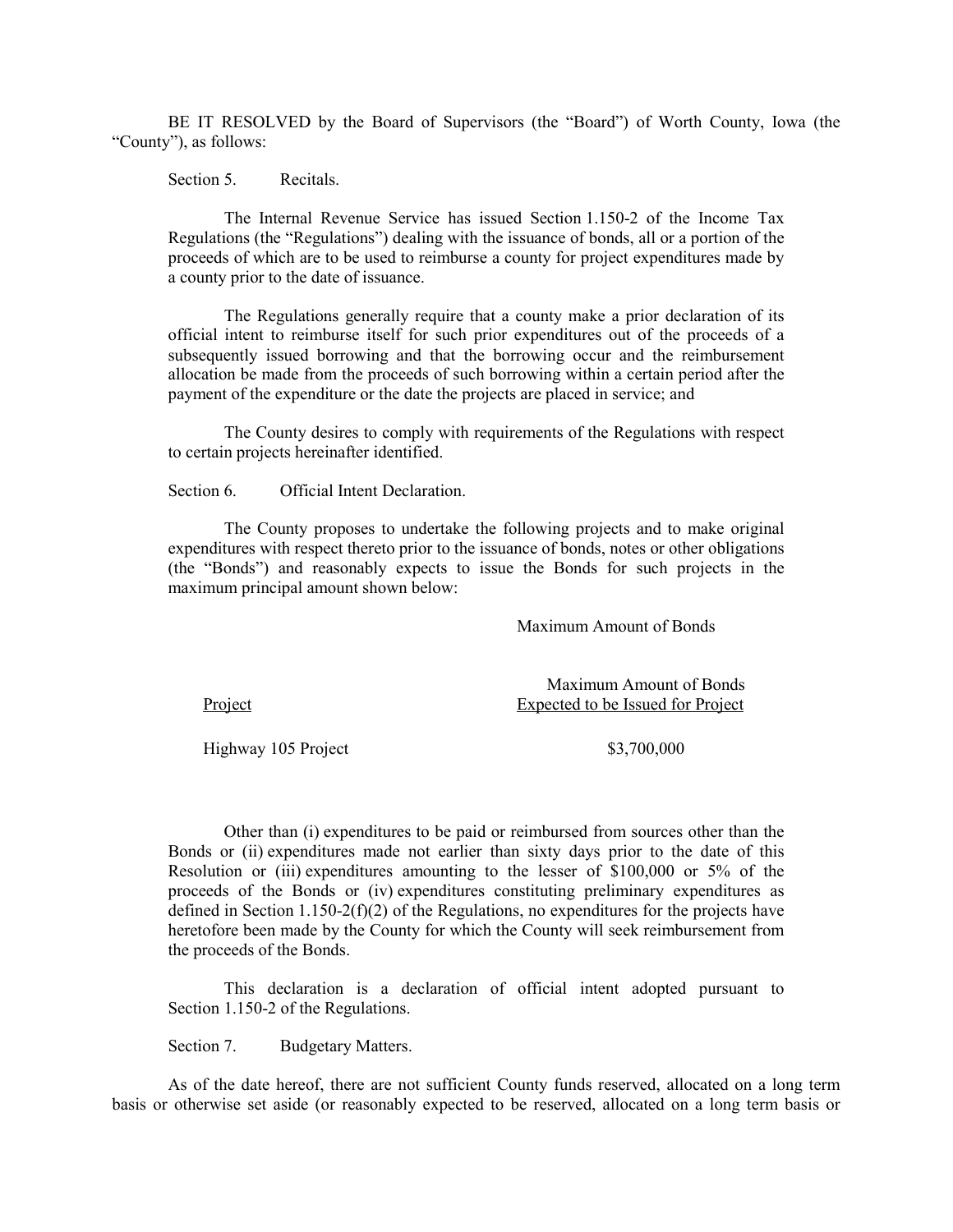BE IT RESOLVED by the Board of Supervisors (the "Board") of Worth County, Iowa (the "County"), as follows:

Section 5. Recitals.

The Internal Revenue Service has issued Section 1.150-2 of the Income Tax Regulations (the "Regulations") dealing with the issuance of bonds, all or a portion of the proceeds of which are to be used to reimburse a county for project expenditures made by a county prior to the date of issuance.

The Regulations generally require that a county make a prior declaration of its official intent to reimburse itself for such prior expenditures out of the proceeds of a subsequently issued borrowing and that the borrowing occur and the reimbursement allocation be made from the proceeds of such borrowing within a certain period after the payment of the expenditure or the date the projects are placed in service; and

The County desires to comply with requirements of the Regulations with respect to certain projects hereinafter identified.

Section 6. Official Intent Declaration.

The County proposes to undertake the following projects and to make original expenditures with respect thereto prior to the issuance of bonds, notes or other obligations (the "Bonds") and reasonably expects to issue the Bonds for such projects in the maximum principal amount shown below:

Maximum Amount of Bonds

Maximum Amount of Bonds Project Expected to be Issued for Project

Highway 105 Project \$3,700,000

Other than (i) expenditures to be paid or reimbursed from sources other than the Bonds or (ii) expenditures made not earlier than sixty days prior to the date of this Resolution or (iii) expenditures amounting to the lesser of \$100,000 or 5% of the proceeds of the Bonds or (iv) expenditures constituting preliminary expenditures as defined in Section 1.150-2(f)(2) of the Regulations, no expenditures for the projects have heretofore been made by the County for which the County will seek reimbursement from the proceeds of the Bonds.

This declaration is a declaration of official intent adopted pursuant to Section 1.150-2 of the Regulations.

Section 7. Budgetary Matters.

As of the date hereof, there are not sufficient County funds reserved, allocated on a long term basis or otherwise set aside (or reasonably expected to be reserved, allocated on a long term basis or